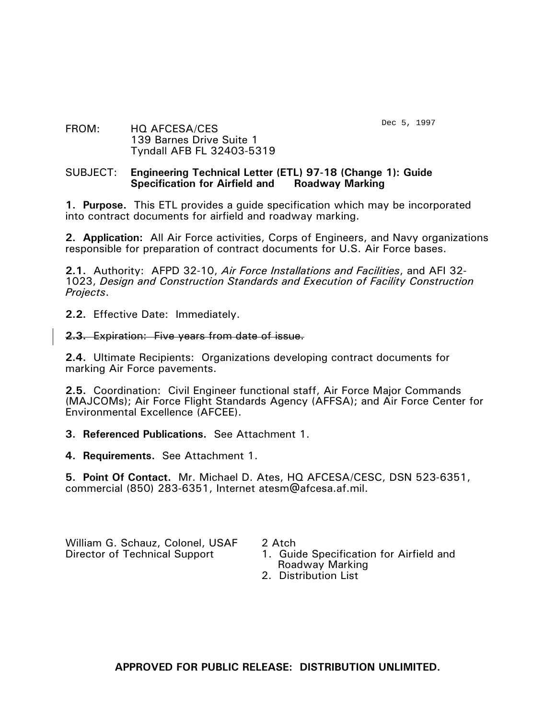Dec 5, 1997

### FROM: HQ AFCESA/CES 139 Barnes Drive Suite 1 Tyndall AFB FL 32403-5319

#### SUBJECT: **Engineering Technical Letter (ETL) 97-18 (Change 1): Guide Specification for Airfield and Roadway Marking**

**1. Purpose.** This ETL provides a guide specification which may be incorporated into contract documents for airfield and roadway marking.

**2. Application:** All Air Force activities, Corps of Engineers, and Navy organizations responsible for preparation of contract documents for U.S. Air Force bases.

**2.1.** Authority: AFPD 32-10, *Air Force Installations and Facilities*, and AFI 32- 1023, *Design and Construction Standards and Execution of Facility Construction Projects*.

**2.2.** Effective Date: Immediately.

### **2.3.** Expiration: Five years from date of issue.

**2.4.** Ultimate Recipients: Organizations developing contract documents for marking Air Force pavements.

**2.5.** Coordination: Civil Engineer functional staff, Air Force Major Commands (MAJCOMs); Air Force Flight Standards Agency (AFFSA); and Air Force Center for Environmental Excellence (AFCEE).

**3. Referenced Publications.** See Attachment 1.

**4. Requirements.** See Attachment 1.

**5. Point Of Contact.** Mr. Michael D. Ates, HQ AFCESA/CESC, DSN 523-6351, commercial (850) 283-6351, Internet atesm@afcesa.af.mil.

William G. Schauz, Colonel, USAF 2 Atch<br>Director of Technical Support 1. Guid

1. Guide Specification for Airfield and Roadway Marking

2. Distribution List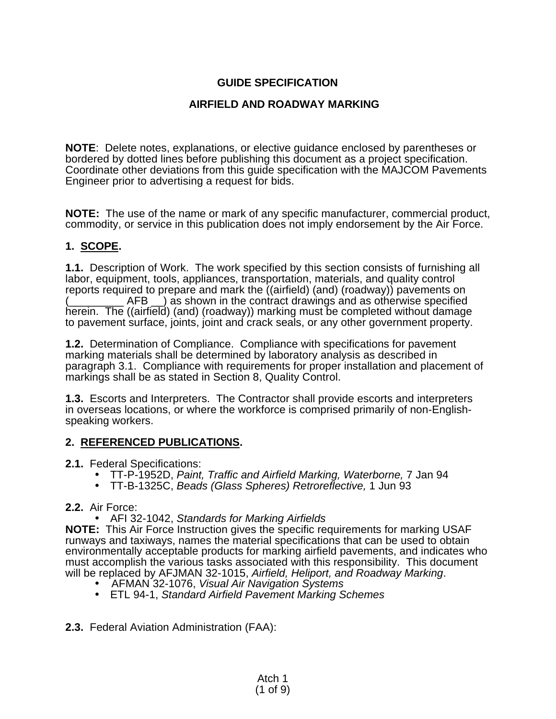# **GUIDE SPECIFICATION**

## **AIRFIELD AND ROADWAY MARKING**

**NOTE**: Delete notes, explanations, or elective guidance enclosed by parentheses or bordered by dotted lines before publishing this document as a project specification. Coordinate other deviations from this guide specification with the MAJCOM Pavements Engineer prior to advertising a request for bids.

**NOTE:** The use of the name or mark of any specific manufacturer, commercial product, commodity, or service in this publication does not imply endorsement by the Air Force.

## **1. SCOPE.**

**1.1.** Description of Work. The work specified by this section consists of furnishing all labor, equipment, tools, appliances, transportation, materials, and quality control reports required to prepare and mark the ((airfield) (and) (roadway)) pavements on  $AFB$  ) as shown in the contract drawings and as otherwise specified herein. The ((airfield) (and) (roadway)) marking must be completed without damage to pavement surface, joints, joint and crack seals, or any other government property.

**1.2.** Determination of Compliance. Compliance with specifications for pavement marking materials shall be determined by laboratory analysis as described in paragraph 3.1. Compliance with requirements for proper installation and placement of markings shall be as stated in Section 8, Quality Control.

**1.3.** Escorts and Interpreters. The Contractor shall provide escorts and interpreters in overseas locations, or where the workforce is comprised primarily of non-Englishspeaking workers.

### **2. REFERENCED PUBLICATIONS.**

**2.1.** Federal Specifications:

- TT-P-1952D, *Paint, Traffic and Airfield Marking, Waterborne,* 7 Jan 94
- TT-B-1325C, *Beads (Glass Spheres) Retroreflective,* 1 Jun 93
- **2.2.** Air Force:
	- AFI 32-1042, *Standards for Marking Airfields*

**NOTE:** This Air Force Instruction gives the specific requirements for marking USAF runways and taxiways, names the material specifications that can be used to obtain environmentally acceptable products for marking airfield pavements, and indicates who must accomplish the various tasks associated with this responsibility. This document will be replaced by AFJMAN 32-1015, *Airfield, Heliport, and Roadway Marking*.

- AFMAN 32-1076, *Visual Air Navigation Systems*
- ETL 94-1, *Standard Airfield Pavement Marking Schemes*
- **2.3.** Federal Aviation Administration (FAA):

Atch 1 (1 of 9)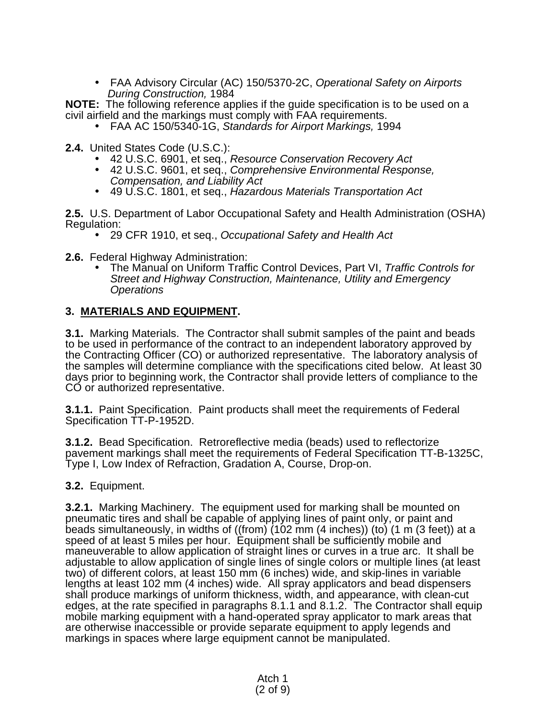• FAA Advisory Circular (AC) 150/5370-2C, *Operational Safety on Airports During Construction,* 1984

**NOTE:** The following reference applies if the guide specification is to be used on a civil airfield and the markings must comply with FAA requirements.

- FAA AC 150/5340-1G, *Standards for Airport Markings,* 1994
- **2.4.** United States Code (U.S.C.):
	- 42 U.S.C. 6901, et seq., *Resource Conservation Recovery Act*
	- 42 U.S.C. 9601, et seq., *Comprehensive Environmental Response, Compensation, and Liability Act*
	- 49 U.S.C. 1801, et seq., *Hazardous Materials Transportation Act*

**2.5.** U.S. Department of Labor Occupational Safety and Health Administration (OSHA) Regulation:

- 29 CFR 1910, et seq., *Occupational Safety and Health Act*
- **2.6.** Federal Highway Administration:
	- The Manual on Uniform Traffic Control Devices, Part VI, *Traffic Controls for Street and Highway Construction, Maintenance, Utility and Emergency Operations*

## **3. MATERIALS AND EQUIPMENT.**

**3.1.** Marking Materials. The Contractor shall submit samples of the paint and beads to be used in performance of the contract to an independent laboratory approved by the Contracting Officer (CO) or authorized representative. The laboratory analysis of the samples will determine compliance with the specifications cited below. At least 30 days prior to beginning work, the Contractor shall provide letters of compliance to the CO or authorized representative.

**3.1.1.** Paint Specification. Paint products shall meet the requirements of Federal Specification TT-P-1952D.

**3.1.2.** Bead Specification. Retroreflective media (beads) used to reflectorize pavement markings shall meet the requirements of Federal Specification TT-B-1325C, Type I, Low Index of Refraction, Gradation A, Course, Drop-on.

### **3.2.** Equipment.

**3.2.1.** Marking Machinery. The equipment used for marking shall be mounted on pneumatic tires and shall be capable of applying lines of paint only, or paint and beads simultaneously, in widths of ((from) (102 mm (4 inches)) (to) (1 m (3 feet)) at a speed of at least 5 miles per hour. Equipment shall be sufficiently mobile and maneuverable to allow application of straight lines or curves in a true arc. It shall be adjustable to allow application of single lines of single colors or multiple lines (at least two) of different colors, at least 150 mm (6 inches) wide, and skip-lines in variable lengths at least 102 mm (4 inches) wide. All spray applicators and bead dispensers shall produce markings of uniform thickness, width, and appearance, with clean-cut edges, at the rate specified in paragraphs 8.1.1 and 8.1.2. The Contractor shall equip mobile marking equipment with a hand-operated spray applicator to mark areas that are otherwise inaccessible or provide separate equipment to apply legends and markings in spaces where large equipment cannot be manipulated.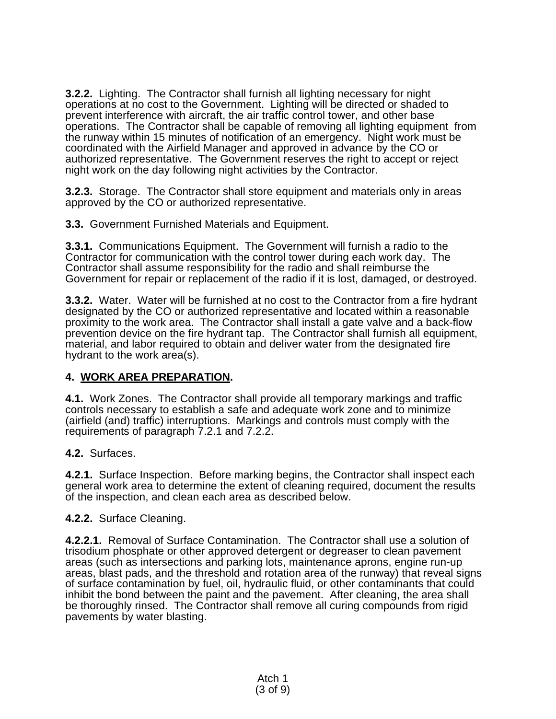**3.2.2.** Lighting. The Contractor shall furnish all lighting necessary for night operations at no cost to the Government. Lighting will be directed or shaded to prevent interference with aircraft, the air traffic control tower, and other base operations. The Contractor shall be capable of removing all lighting equipment from the runway within 15 minutes of notification of an emergency. Night work must be coordinated with the Airfield Manager and approved in advance by the CO or authorized representative. The Government reserves the right to accept or reject night work on the day following night activities by the Contractor.

**3.2.3.** Storage. The Contractor shall store equipment and materials only in areas approved by the CO or authorized representative.

**3.3.** Government Furnished Materials and Equipment.

**3.3.1.** Communications Equipment. The Government will furnish a radio to the Contractor for communication with the control tower during each work day. The Contractor shall assume responsibility for the radio and shall reimburse the Government for repair or replacement of the radio if it is lost, damaged, or destroyed.

**3.3.2.** Water. Water will be furnished at no cost to the Contractor from a fire hydrant designated by the CO or authorized representative and located within a reasonable proximity to the work area. The Contractor shall install a gate valve and a back-flow prevention device on the fire hydrant tap. The Contractor shall furnish all equipment, material, and labor required to obtain and deliver water from the designated fire hydrant to the work area(s).

## **4. WORK AREA PREPARATION.**

**4.1.** Work Zones. The Contractor shall provide all temporary markings and traffic controls necessary to establish a safe and adequate work zone and to minimize (airfield (and) traffic) interruptions. Markings and controls must comply with the requirements of paragraph 7.2.1 and 7.2.2.

**4.2.** Surfaces.

**4.2.1.** Surface Inspection. Before marking begins, the Contractor shall inspect each general work area to determine the extent of cleaning required, document the results of the inspection, and clean each area as described below.

### **4.2.2.** Surface Cleaning.

**4.2.2.1.** Removal of Surface Contamination. The Contractor shall use a solution of trisodium phosphate or other approved detergent or degreaser to clean pavement areas (such as intersections and parking lots, maintenance aprons, engine run-up areas, blast pads, and the threshold and rotation area of the runway) that reveal signs of surface contamination by fuel, oil, hydraulic fluid, or other contaminants that could inhibit the bond between the paint and the pavement. After cleaning, the area shall be thoroughly rinsed. The Contractor shall remove all curing compounds from rigid pavements by water blasting.

> Atch 1 (3 of 9)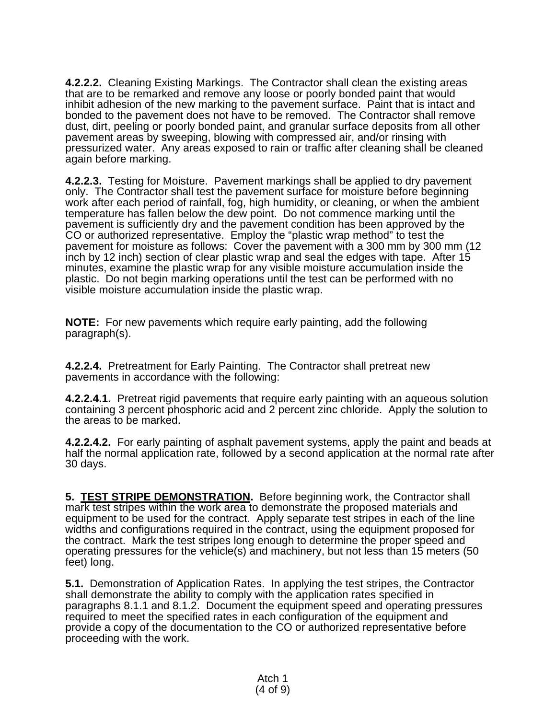**4.2.2.2.** Cleaning Existing Markings. The Contractor shall clean the existing areas that are to be remarked and remove any loose or poorly bonded paint that would inhibit adhesion of the new marking to the pavement surface. Paint that is intact and bonded to the pavement does not have to be removed. The Contractor shall remove dust, dirt, peeling or poorly bonded paint, and granular surface deposits from all other pavement areas by sweeping, blowing with compressed air, and/or rinsing with pressurized water. Any areas exposed to rain or traffic after cleaning shall be cleaned again before marking.

**4.2.2.3.** Testing for Moisture. Pavement markings shall be applied to dry pavement only. The Contractor shall test the pavement surface for moisture before beginning work after each period of rainfall, fog, high humidity, or cleaning, or when the ambient temperature has fallen below the dew point. Do not commence marking until the pavement is sufficiently dry and the pavement condition has been approved by the CO or authorized representative. Employ the "plastic wrap method" to test the pavement for moisture as follows: Cover the pavement with a 300 mm by 300 mm (12 inch by 12 inch) section of clear plastic wrap and seal the edges with tape. After 15 minutes, examine the plastic wrap for any visible moisture accumulation inside the plastic. Do not begin marking operations until the test can be performed with no visible moisture accumulation inside the plastic wrap.

**NOTE:** For new pavements which require early painting, add the following paragraph(s).

**4.2.2.4.** Pretreatment for Early Painting. The Contractor shall pretreat new pavements in accordance with the following:

**4.2.2.4.1.** Pretreat rigid pavements that require early painting with an aqueous solution containing 3 percent phosphoric acid and 2 percent zinc chloride. Apply the solution to the areas to be marked.

**4.2.2.4.2.** For early painting of asphalt pavement systems, apply the paint and beads at half the normal application rate, followed by a second application at the normal rate after 30 days.

**5. TEST STRIPE DEMONSTRATION.** Before beginning work, the Contractor shall mark test stripes within the work area to demonstrate the proposed materials and equipment to be used for the contract. Apply separate test stripes in each of the line widths and configurations required in the contract, using the equipment proposed for the contract. Mark the test stripes long enough to determine the proper speed and operating pressures for the vehicle(s) and machinery, but not less than 15 meters (50 feet) long.

**5.1.** Demonstration of Application Rates. In applying the test stripes, the Contractor shall demonstrate the ability to comply with the application rates specified in paragraphs 8.1.1 and 8.1.2. Document the equipment speed and operating pressures required to meet the specified rates in each configuration of the equipment and provide a copy of the documentation to the CO or authorized representative before proceeding with the work.

> Atch 1 (4 of 9)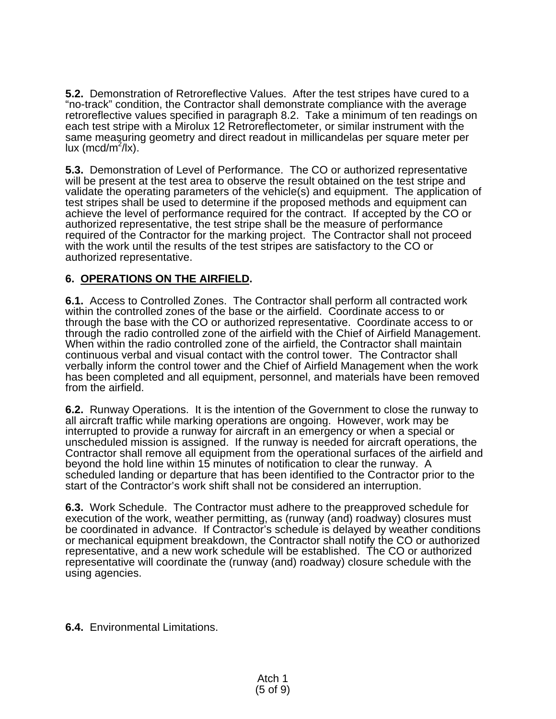**5.2.** Demonstration of Retroreflective Values. After the test stripes have cured to a "no-track" condition, the Contractor shall demonstrate compliance with the average retroreflective values specified in paragraph 8.2. Take a minimum of ten readings on each test stripe with a Mirolux 12 Retroreflectometer, or similar instrument with the same measuring geometry and direct readout in millicandelas per square meter per lux (mcd/m $^2$ /lx).

**5.3.** Demonstration of Level of Performance. The CO or authorized representative will be present at the test area to observe the result obtained on the test stripe and validate the operating parameters of the vehicle(s) and equipment. The application of test stripes shall be used to determine if the proposed methods and equipment can achieve the level of performance required for the contract. If accepted by the CO or authorized representative, the test stripe shall be the measure of performance required of the Contractor for the marking project. The Contractor shall not proceed with the work until the results of the test stripes are satisfactory to the CO or authorized representative.

# **6. OPERATIONS ON THE AIRFIELD.**

**6.1.** Access to Controlled Zones. The Contractor shall perform all contracted work within the controlled zones of the base or the airfield. Coordinate access to or through the base with the CO or authorized representative. Coordinate access to or through the radio controlled zone of the airfield with the Chief of Airfield Management. When within the radio controlled zone of the airfield, the Contractor shall maintain continuous verbal and visual contact with the control tower. The Contractor shall verbally inform the control tower and the Chief of Airfield Management when the work has been completed and all equipment, personnel, and materials have been removed from the airfield.

**6.2.** Runway Operations. It is the intention of the Government to close the runway to all aircraft traffic while marking operations are ongoing. However, work may be interrupted to provide a runway for aircraft in an emergency or when a special or unscheduled mission is assigned. If the runway is needed for aircraft operations, the Contractor shall remove all equipment from the operational surfaces of the airfield and beyond the hold line within 15 minutes of notification to clear the runway. A scheduled landing or departure that has been identified to the Contractor prior to the start of the Contractor's work shift shall not be considered an interruption.

**6.3.** Work Schedule. The Contractor must adhere to the preapproved schedule for execution of the work, weather permitting, as (runway (and) roadway) closures must be coordinated in advance. If Contractor's schedule is delayed by weather conditions or mechanical equipment breakdown, the Contractor shall notify the CO or authorized representative, and a new work schedule will be established. The CO or authorized representative will coordinate the (runway (and) roadway) closure schedule with the using agencies.

**6.4.** Environmental Limitations.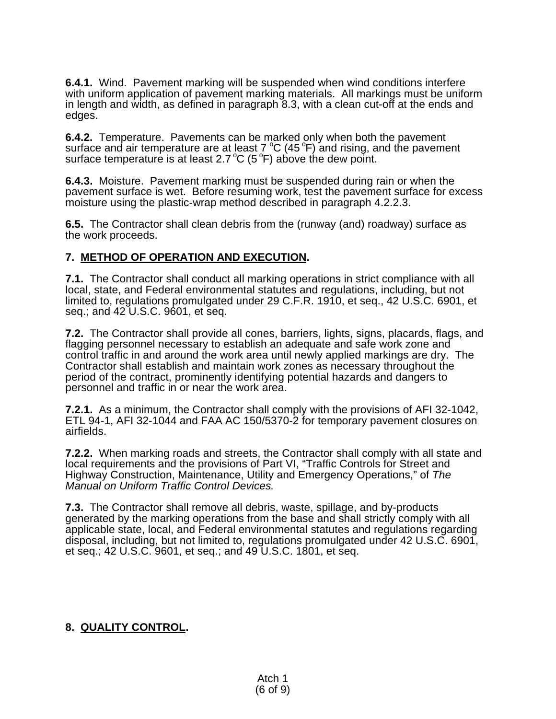**6.4.1.** Wind. Pavement marking will be suspended when wind conditions interfere with uniform application of pavement marking materials. All markings must be uniform in length and width, as defined in paragraph 8.3, with a clean cut-off at the ends and edges.

**6.4.2.** Temperature. Pavements can be marked only when both the pavement surface and air temperature are at least  $7 \degree C$  (45 $\degree F$ ) and rising, and the pavement surface temperature is at least 2.7 °C (5 °F) above the dew point.

**6.4.3.** Moisture. Pavement marking must be suspended during rain or when the pavement surface is wet. Before resuming work, test the pavement surface for excess moisture using the plastic-wrap method described in paragraph 4.2.2.3.

**6.5.** The Contractor shall clean debris from the (runway (and) roadway) surface as the work proceeds.

# **7. METHOD OF OPERATION AND EXECUTION.**

**7.1.** The Contractor shall conduct all marking operations in strict compliance with all local, state, and Federal environmental statutes and regulations, including, but not limited to, regulations promulgated under 29 C.F.R. 1910, et seq., 42 U.S.C. 6901, et seq.; and 42 U.S.C. 9601, et seq.

**7.2.** The Contractor shall provide all cones, barriers, lights, signs, placards, flags, and flagging personnel necessary to establish an adequate and safe work zone and control traffic in and around the work area until newly applied markings are dry. The Contractor shall establish and maintain work zones as necessary throughout the period of the contract, prominently identifying potential hazards and dangers to personnel and traffic in or near the work area.

**7.2.1.** As a minimum, the Contractor shall comply with the provisions of AFI 32-1042, ETL 94-1, AFI 32-1044 and FAA AC 150/5370-2 for temporary pavement closures on airfields.

**7.2.2.** When marking roads and streets, the Contractor shall comply with all state and local requirements and the provisions of Part VI, "Traffic Controls for Street and Highway Construction, Maintenance, Utility and Emergency Operations," of *The Manual on Uniform Traffic Control Devices.*

**7.3.** The Contractor shall remove all debris, waste, spillage, and by-products generated by the marking operations from the base and shall strictly comply with all applicable state, local, and Federal environmental statutes and regulations regarding disposal, including, but not limited to, regulations promulgated under 42 U.S.C. 6901, et seq.; 42 U.S.C. 9601, et seq.; and 49 U.S.C. 1801, et seq.

## **8. QUALITY CONTROL.**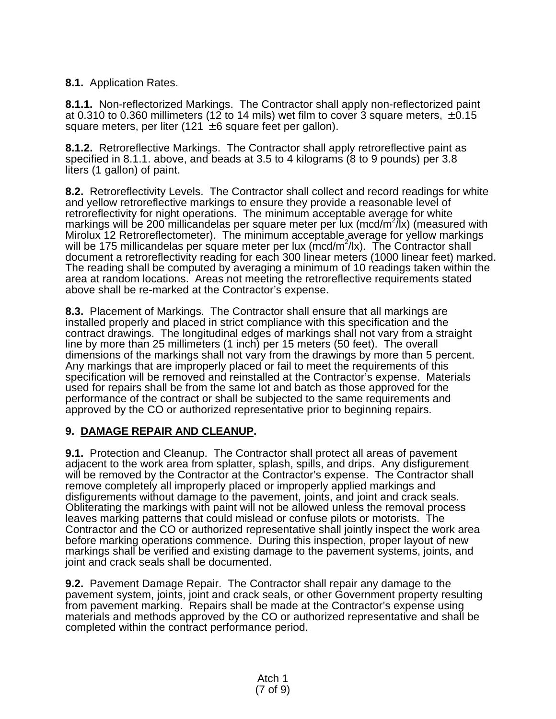**8.1.** Application Rates.

**8.1.1.** Non-reflectorized Markings. The Contractor shall apply non-reflectorized paint at 0.310 to 0.360 millimeters (12 to 14 mils) wet film to cover 3 square meters,  $\pm$  0.15 square meters, per liter (121  $\pm$  6 square feet per gallon).

**8.1.2.** Retroreflective Markings. The Contractor shall apply retroreflective paint as specified in 8.1.1. above, and beads at 3.5 to 4 kilograms (8 to 9 pounds) per 3.8 liters (1 gallon) of paint.

**8.2.** Retroreflectivity Levels. The Contractor shall collect and record readings for white and yellow retroreflective markings to ensure they provide a reasonable level of retroreflectivity for night operations. The minimum acceptable average for white markings will be 200 millicandelas per square meter per lux (mcd/m<sup>2</sup>/lx) (measured with Mirolux 12 Retroreflectometer). The minimum acceptable average for yellow markings will be 175 millicandelas per square meter per lux (mcd/m<sup>2</sup>/lx). The Contractor shall document a retroreflectivity reading for each 300 linear meters (1000 linear feet) marked. The reading shall be computed by averaging a minimum of 10 readings taken within the area at random locations. Areas not meeting the retroreflective requirements stated above shall be re-marked at the Contractor's expense.

**8.3.** Placement of Markings. The Contractor shall ensure that all markings are installed properly and placed in strict compliance with this specification and the contract drawings. The longitudinal edges of markings shall not vary from a straight line by more than 25 millimeters (1 inch) per 15 meters (50 feet). The overall dimensions of the markings shall not vary from the drawings by more than 5 percent. Any markings that are improperly placed or fail to meet the requirements of this specification will be removed and reinstalled at the Contractor's expense. Materials used for repairs shall be from the same lot and batch as those approved for the performance of the contract or shall be subjected to the same requirements and approved by the CO or authorized representative prior to beginning repairs.

# **9. DAMAGE REPAIR AND CLEANUP.**

**9.1.** Protection and Cleanup. The Contractor shall protect all areas of pavement adjacent to the work area from splatter, splash, spills, and drips. Any disfigurement will be removed by the Contractor at the Contractor's expense. The Contractor shall remove completely all improperly placed or improperly applied markings and disfigurements without damage to the pavement, joints, and joint and crack seals. Obliterating the markings with paint will not be allowed unless the removal process leaves marking patterns that could mislead or confuse pilots or motorists. The Contractor and the CO or authorized representative shall jointly inspect the work area before marking operations commence. During this inspection, proper layout of new markings shall be verified and existing damage to the pavement systems, joints, and joint and crack seals shall be documented.

**9.2.** Pavement Damage Repair. The Contractor shall repair any damage to the pavement system, joints, joint and crack seals, or other Government property resulting from pavement marking. Repairs shall be made at the Contractor's expense using materials and methods approved by the CO or authorized representative and shall be completed within the contract performance period.

> Atch 1 (7 of 9)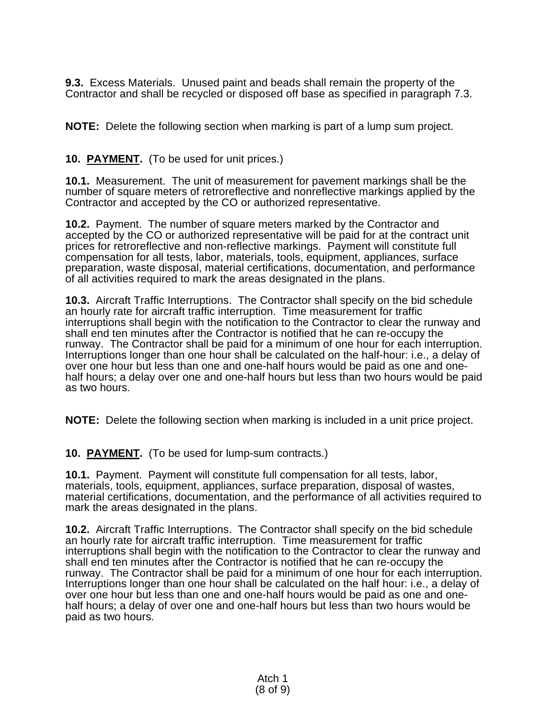**9.3.** Excess Materials. Unused paint and beads shall remain the property of the Contractor and shall be recycled or disposed off base as specified in paragraph 7.3.

**NOTE:** Delete the following section when marking is part of a lump sum project.

# **10. PAYMENT.** (To be used for unit prices.)

**10.1.** Measurement. The unit of measurement for pavement markings shall be the number of square meters of retroreflective and nonreflective markings applied by the Contractor and accepted by the CO or authorized representative.

**10.2.** Payment. The number of square meters marked by the Contractor and accepted by the CO or authorized representative will be paid for at the contract unit prices for retroreflective and non-reflective markings. Payment will constitute full compensation for all tests, labor, materials, tools, equipment, appliances, surface preparation, waste disposal, material certifications, documentation, and performance of all activities required to mark the areas designated in the plans.

**10.3.** Aircraft Traffic Interruptions. The Contractor shall specify on the bid schedule an hourly rate for aircraft traffic interruption. Time measurement for traffic interruptions shall begin with the notification to the Contractor to clear the runway and shall end ten minutes after the Contractor is notified that he can re-occupy the runway. The Contractor shall be paid for a minimum of one hour for each interruption. Interruptions longer than one hour shall be calculated on the half-hour: i.e., a delay of over one hour but less than one and one-half hours would be paid as one and onehalf hours; a delay over one and one-half hours but less than two hours would be paid as two hours.

**NOTE:** Delete the following section when marking is included in a unit price project.

**10. PAYMENT.** (To be used for lump-sum contracts.)

**10.1.** Payment. Payment will constitute full compensation for all tests, labor, materials, tools, equipment, appliances, surface preparation, disposal of wastes, material certifications, documentation, and the performance of all activities required to mark the areas designated in the plans.

**10.2.** Aircraft Traffic Interruptions. The Contractor shall specify on the bid schedule an hourly rate for aircraft traffic interruption. Time measurement for traffic interruptions shall begin with the notification to the Contractor to clear the runway and shall end ten minutes after the Contractor is notified that he can re-occupy the runway. The Contractor shall be paid for a minimum of one hour for each interruption. Interruptions longer than one hour shall be calculated on the half hour: i.e., a delay of over one hour but less than one and one-half hours would be paid as one and onehalf hours; a delay of over one and one-half hours but less than two hours would be paid as two hours.

> Atch 1 (8 of 9)